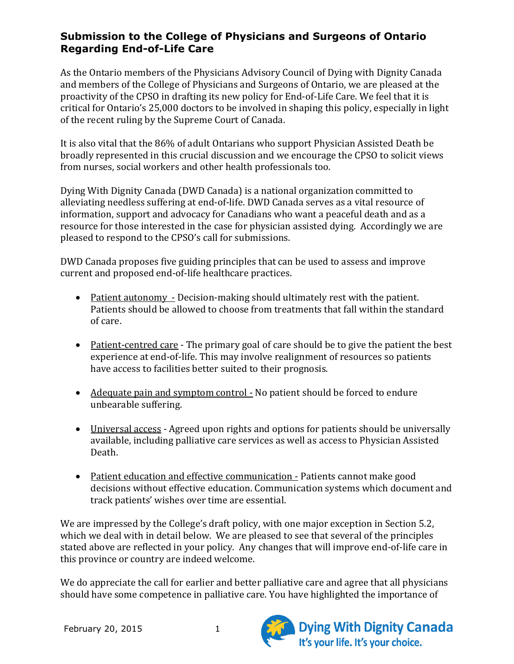As the Ontario members of the Physicians Advisory Council of Dying with Dignity Canada and members of the College of Physicians and Surgeons of Ontario, we are pleased at the proactivity of the CPSO in drafting its new policy for End-of-Life Care. We feel that it is critical for Ontario's 25,000 doctors to be involved in shaping this policy, especially in light of the recent ruling by the Supreme Court of Canada.

It is also vital that the 86% of adult Ontarians who support Physician Assisted Death be broadly represented in this crucial discussion and we encourage the CPSO to solicit views from nurses, social workers and other health professionals too.

Dying With Dignity Canada (DWD Canada) is a national organization committed to alleviating needless suffering at end-of-life. DWD Canada serves as a vital resource of information, support and advocacy for Canadians who want a peaceful death and as a resource for those interested in the case for physician assisted dying. Accordingly we are pleased to respond to the CPSO's call for submissions.

DWD Canada proposes five guiding principles that can be used to assess and improve current and proposed end-of-life healthcare practices.

- Patient autonomy Decision-making should ultimately rest with the patient. Patients should be allowed to choose from treatments that fall within the standard of care.
- Patient-centred care The primary goal of care should be to give the patient the best experience at end-of-life. This may involve realignment of resources so patients have access to facilities better suited to their prognosis.
- Adequate pain and symptom control No patient should be forced to endure unbearable suffering.
- Universal access Agreed upon rights and options for patients should be universally available, including palliative care services as well as access to Physician Assisted Death.
- Patient education and effective communication Patients cannot make good decisions without effective education. Communication systems which document and track patients' wishes over time are essential.

We are impressed by the College's draft policy, with one major exception in Section 5.2, which we deal with in detail below. We are pleased to see that several of the principles stated above are reflected in your policy. Any changes that will improve end-of-life care in this province or country are indeed welcome.

We do appreciate the call for earlier and better palliative care and agree that all physicians should have some competence in palliative care. You have highlighted the importance of



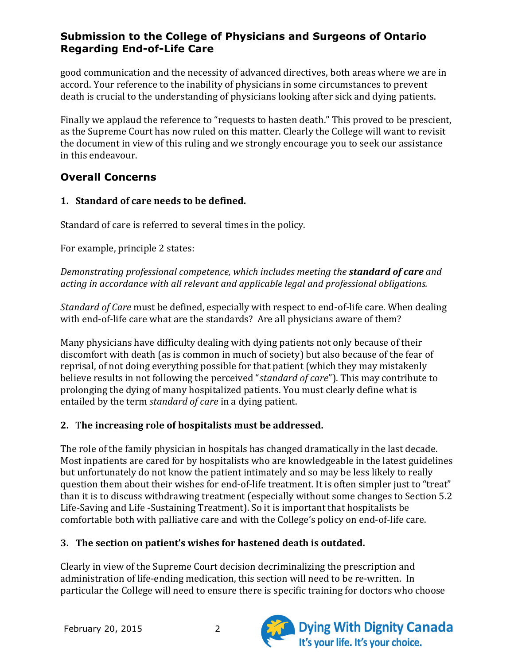good communication and the necessity of advanced directives, both areas where we are in accord. Your reference to the inability of physicians in some circumstances to prevent death is crucial to the understanding of physicians looking after sick and dying patients.

Finally we applaud the reference to "requests to hasten death." This proved to be prescient, as the Supreme Court has now ruled on this matter. Clearly the College will want to revisit the document in view of this ruling and we strongly encourage you to seek our assistance in this endeavour.

## **Overall Concerns**

### **1. Standard of care needs to be defined.**

Standard of care is referred to several times in the policy.

For example, principle 2 states:

*Demonstrating professional competence, which includes meeting the standard of care and acting in accordance with all relevant and applicable legal and professional obligations.*

*Standard of Care* must be defined, especially with respect to end-of-life care. When dealing with end-of-life care what are the standards? Are all physicians aware of them?

Many physicians have difficulty dealing with dying patients not only because of their discomfort with death (as is common in much of society) but also because of the fear of reprisal, of not doing everything possible for that patient (which they may mistakenly believe results in not following the perceived "*standard of care*"). This may contribute to prolonging the dying of many hospitalized patients. You must clearly define what is entailed by the term *standard of care* in a dying patient.

## **2.** T**he increasing role of hospitalists must be addressed.**

The role of the family physician in hospitals has changed dramatically in the last decade. Most inpatients are cared for by hospitalists who are knowledgeable in the latest guidelines but unfortunately do not know the patient intimately and so may be less likely to really question them about their wishes for end-of-life treatment. It is often simpler just to "treat" than it is to discuss withdrawing treatment (especially without some changes to Section 5.2 Life-Saving and Life -Sustaining Treatment). So it is important that hospitalists be comfortable both with palliative care and with the College's policy on end-of-life care.

## **3. The section on patient's wishes for hastened death is outdated.**

Clearly in view of the Supreme Court decision decriminalizing the prescription and administration of life-ending medication, this section will need to be re-written. In particular the College will need to ensure there is specific training for doctors who choose



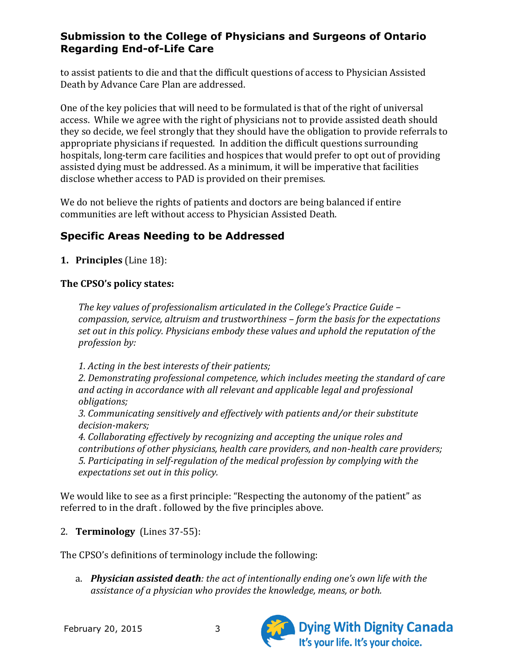to assist patients to die and that the difficult questions of access to Physician Assisted Death by Advance Care Plan are addressed.

One of the key policies that will need to be formulated is that of the right of universal access. While we agree with the right of physicians not to provide assisted death should they so decide, we feel strongly that they should have the obligation to provide referrals to appropriate physicians if requested. In addition the difficult questions surrounding hospitals, long-term care facilities and hospices that would prefer to opt out of providing assisted dying must be addressed. As a minimum, it will be imperative that facilities disclose whether access to PAD is provided on their premises.

We do not believe the rights of patients and doctors are being balanced if entire communities are left without access to Physician Assisted Death.

# **Specific Areas Needing to be Addressed**

**1. Principles** (Line 18):

#### **The CPSO's policy states:**

*The key values of professionalism articulated in the College's Practice Guide – compassion, service, altruism and trustworthiness – form the basis for the expectations set out in this policy. Physicians embody these values and uphold the reputation of the profession by:* 

*1. Acting in the best interests of their patients;* 

*2. Demonstrating professional competence, which includes meeting the standard of care and acting in accordance with all relevant and applicable legal and professional obligations;* 

*3. Communicating sensitively and effectively with patients and/or their substitute decision-makers;* 

*4. Collaborating effectively by recognizing and accepting the unique roles and contributions of other physicians, health care providers, and non-health care providers; 5. Participating in self-regulation of the medical profession by complying with the expectations set out in this policy.*

We would like to see as a first principle: "Respecting the autonomy of the patient" as referred to in the draft . followed by the five principles above.

2. **Terminology** (Lines 37-55):

The CPSO's definitions of terminology include the following:

a. *Physician assisted death: the act of intentionally ending one's own life with the assistance of a physician who provides the knowledge, means, or both.* 



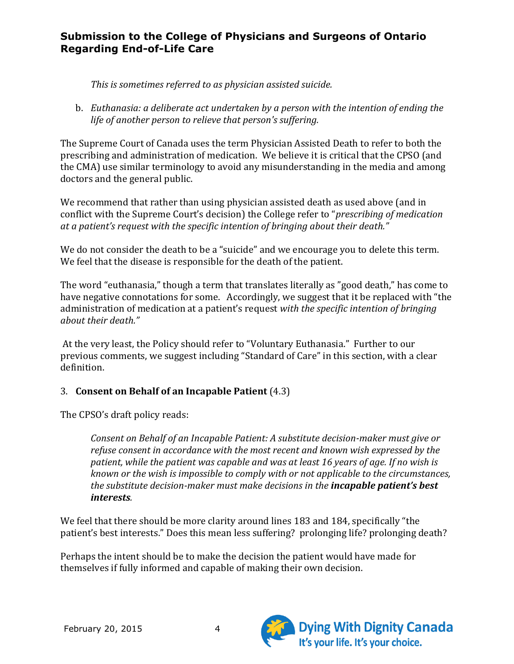*This is sometimes referred to as physician assisted suicide.*

b. *Euthanasia: a deliberate act undertaken by a person with the intention of ending the life of another person to relieve that person's suffering.*

The Supreme Court of Canada uses the term Physician Assisted Death to refer to both the prescribing and administration of medication. We believe it is critical that the CPSO (and the CMA) use similar terminology to avoid any misunderstanding in the media and among doctors and the general public.

We recommend that rather than using physician assisted death as used above (and in conflict with the Supreme Court's decision) the College refer to "*prescribing of medication at a patient's request with the specific intention of bringing about their death."*

We do not consider the death to be a "suicide" and we encourage you to delete this term. We feel that the disease is responsible for the death of the patient.

The word "euthanasia," though a term that translates literally as "good death," has come to have negative connotations for some. Accordingly, we suggest that it be replaced with "the administration of medication at a patient's request *with the specific intention of bringing about their death."*

At the very least, the Policy should refer to "Voluntary Euthanasia." Further to our previous comments, we suggest including "Standard of Care" in this section, with a clear definition.

### 3. **Consent on Behalf of an Incapable Patient** (4.3)

The CPSO's draft policy reads:

*Consent on Behalf of an Incapable Patient: A substitute decision-maker must give or refuse consent in accordance with the most recent and known wish expressed by the patient, while the patient was capable and was at least 16 years of age. If no wish is known or the wish is impossible to comply with or not applicable to the circumstances, the substitute decision-maker must make decisions in the incapable patient's best interests.*

We feel that there should be more clarity around lines 183 and 184, specifically "the patient's best interests." Does this mean less suffering? prolonging life? prolonging death?

Perhaps the intent should be to make the decision the patient would have made for themselves if fully informed and capable of making their own decision.



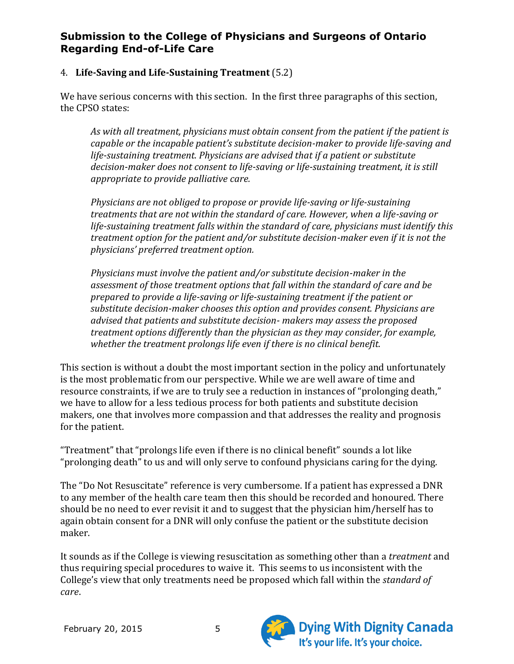#### 4. **Life-Saving and Life-Sustaining Treatment** (5.2)

We have serious concerns with this section. In the first three paragraphs of this section, the CPSO states:

*As with all treatment, physicians must obtain consent from the patient if the patient is capable or the incapable patient's substitute decision-maker to provide life-saving and life-sustaining treatment. Physicians are advised that if a patient or substitute decision-maker does not consent to life-saving or life-sustaining treatment, it is still appropriate to provide palliative care.* 

*Physicians are not obliged to propose or provide life-saving or life-sustaining treatments that are not within the standard of care. However, when a life-saving or life-sustaining treatment falls within the standard of care, physicians must identify this treatment option for the patient and/or substitute decision-maker even if it is not the physicians' preferred treatment option.*

*Physicians must involve the patient and/or substitute decision-maker in the assessment of those treatment options that fall within the standard of care and be prepared to provide a life-saving or life-sustaining treatment if the patient or substitute decision-maker chooses this option and provides consent. Physicians are advised that patients and substitute decision- makers may assess the proposed treatment options differently than the physician as they may consider, for example, whether the treatment prolongs life even if there is no clinical benefit.*

This section is without a doubt the most important section in the policy and unfortunately is the most problematic from our perspective. While we are well aware of time and resource constraints, if we are to truly see a reduction in instances of "prolonging death," we have to allow for a less tedious process for both patients and substitute decision makers, one that involves more compassion and that addresses the reality and prognosis for the patient.

"Treatment" that "prolongs life even if there is no clinical benefit" sounds a lot like "prolonging death" to us and will only serve to confound physicians caring for the dying.

The "Do Not Resuscitate" reference is very cumbersome. If a patient has expressed a DNR to any member of the health care team then this should be recorded and honoured. There should be no need to ever revisit it and to suggest that the physician him/herself has to again obtain consent for a DNR will only confuse the patient or the substitute decision maker.

It sounds as if the College is viewing resuscitation as something other than a *treatment* and thus requiring special procedures to waive it. This seems to us inconsistent with the College's view that only treatments need be proposed which fall within the *standard of care*.



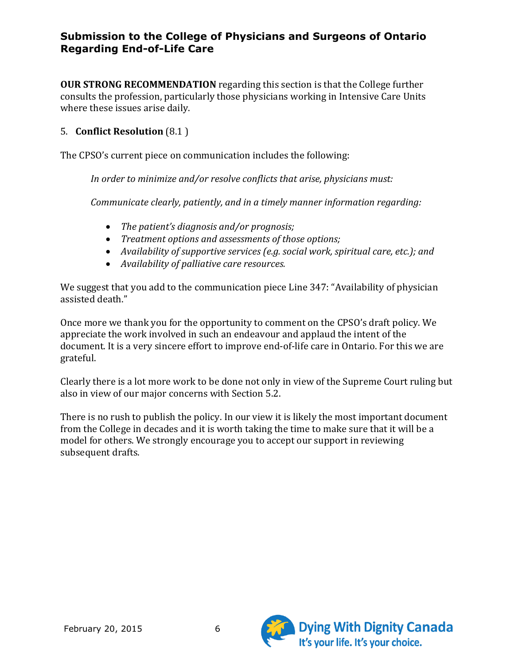**OUR STRONG RECOMMENDATION** regarding this section is that the College further consults the profession, particularly those physicians working in Intensive Care Units where these issues arise daily.

#### 5. **Conflict Resolution** (8.1 )

The CPSO's current piece on communication includes the following:

*In order to minimize and/or resolve conflicts that arise, physicians must:* 

*Communicate clearly, patiently, and in a timely manner information regarding:* 

- *The patient's diagnosis and/or prognosis;*
- *Treatment options and assessments of those options;*
- *Availability of supportive services (e.g. social work, spiritual care, etc.); and*
- *Availability of palliative care resources.*

We suggest that you add to the communication piece Line 347: "Availability of physician assisted death."

Once more we thank you for the opportunity to comment on the CPSO's draft policy. We appreciate the work involved in such an endeavour and applaud the intent of the document. It is a very sincere effort to improve end-of-life care in Ontario. For this we are grateful.

Clearly there is a lot more work to be done not only in view of the Supreme Court ruling but also in view of our major concerns with Section 5.2.

There is no rush to publish the policy. In our view it is likely the most important document from the College in decades and it is worth taking the time to make sure that it will be a model for others. We strongly encourage you to accept our support in reviewing subsequent drafts.